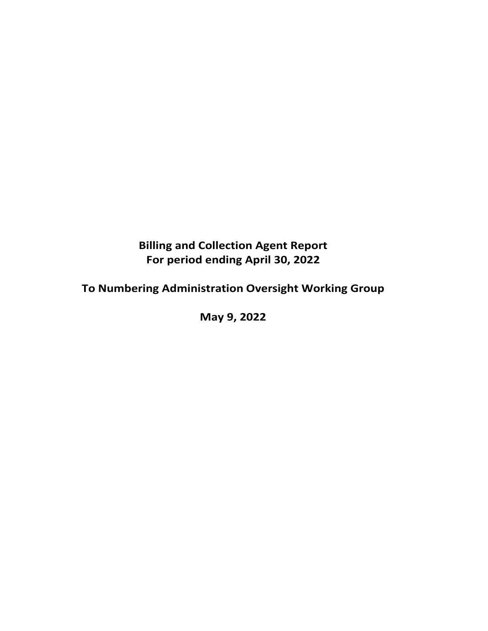## **Billing and Collection Agent Report For period ending April 30, 2022**

# **To Numbering Administration Oversight Working Group**

**May 9, 2022**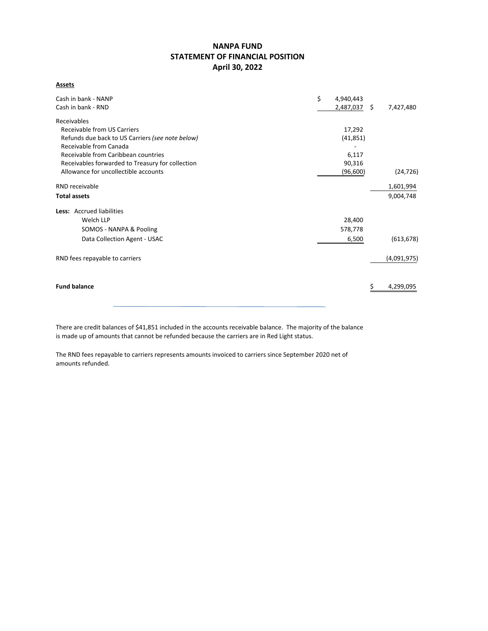## **NANPA FUND STATEMENT OF FINANCIAL POSITION April 30, 2022**

**Assets**

| Cash in bank - NANP                              | \$<br>4,940,443 |             |
|--------------------------------------------------|-----------------|-------------|
| Cash in bank - RND                               | 2,487,037 \$    | 7,427,480   |
| Receivables                                      |                 |             |
| Receivable from US Carriers                      | 17,292          |             |
| Refunds due back to US Carriers (see note below) | (41, 851)       |             |
| Receivable from Canada                           |                 |             |
| Receivable from Caribbean countries              | 6,117           |             |
| Receivables forwarded to Treasury for collection | 90,316          |             |
| Allowance for uncollectible accounts             | (96,600)        | (24, 726)   |
| RND receivable                                   |                 | 1,601,994   |
| <b>Total assets</b>                              |                 | 9,004,748   |
| Less: Accrued liabilities                        |                 |             |
| Welch LLP                                        | 28,400          |             |
| SOMOS - NANPA & Pooling                          | 578,778         |             |
| Data Collection Agent - USAC                     | 6,500           | (613, 678)  |
| RND fees repayable to carriers                   |                 | (4,091,975) |
|                                                  |                 |             |
| <b>Fund balance</b>                              |                 | 4,299,095   |
|                                                  |                 |             |

There are credit balances of \$41,851 included in the accounts receivable balance. The majority of the balance is made up of amounts that cannot be refunded because the carriers are in Red Light status.

The RND fees repayable to carriers represents amounts invoiced to carriers since September 2020 net of amounts refunded.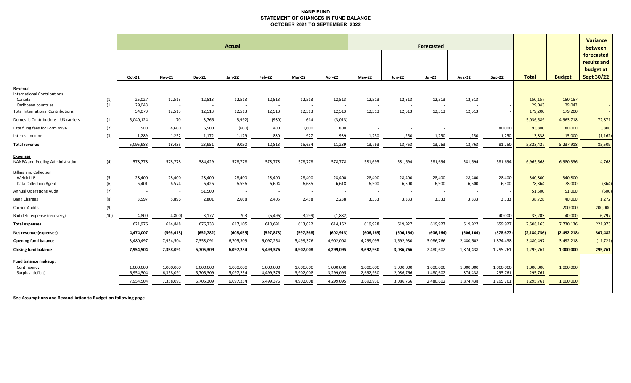#### **NANP FUND STATEMENT OF CHANGES IN FUND BALANCE OCTOBER 2021 TO SEPTEMBER 2022**

|                                                                                |            | <b>Actual</b><br><b>Forecasted</b>  |                                     |                                     |                                     |                                     |                                     |                                     |                                     |                                     |                                     |                                   | <b>Variance</b><br>between        |                                   |                        |                                                             |
|--------------------------------------------------------------------------------|------------|-------------------------------------|-------------------------------------|-------------------------------------|-------------------------------------|-------------------------------------|-------------------------------------|-------------------------------------|-------------------------------------|-------------------------------------|-------------------------------------|-----------------------------------|-----------------------------------|-----------------------------------|------------------------|-------------------------------------------------------------|
|                                                                                |            | Oct-21                              | <b>Nov-21</b>                       | <b>Dec-21</b>                       | <b>Jan-22</b>                       | Feb-22                              | Mar-22                              | Apr-22                              | May-22                              | <b>Jun-22</b>                       | <b>Jul-22</b>                       | Aug-22                            | Sep-22                            | <b>Total</b>                      | <b>Budget</b>          | forecasted<br>results and<br>budget at<br><b>Sept 30/22</b> |
| Revenue<br><b>International Contributions</b><br>Canada<br>Caribbean countries | (1)<br>(1) | 25,027<br>29,043                    | 12,513                              | 12,513                              | 12,513                              | 12,513                              | 12,513                              | 12,513                              | 12,513                              | 12,513                              | 12,513                              | 12,513                            |                                   | 150,157<br>29,043                 | 150,157<br>29,043      |                                                             |
| <b>Total International Contributions</b>                                       |            | 54,070                              | 12,513                              | 12,513                              | 12,513                              | 12,513                              | 12,513                              | 12,513                              | 12,513                              | 12,513                              | 12,513                              | 12,513                            |                                   | 179,200                           | 179,200                |                                                             |
| Domestic Contributions - US carriers                                           | (1)        | 5,040,124                           | 70                                  | 3,766                               | (3,992)                             | (980)                               | 614                                 | (3,013)                             |                                     |                                     |                                     |                                   |                                   | 5,036,589                         | 4,963,718              | 72,871                                                      |
| Late filing fees for Form 499A                                                 | (2)        | 500                                 | 4,600                               | 6,500                               | (600)                               | 400                                 | 1,600                               | 800                                 |                                     |                                     |                                     |                                   | 80,000                            | 93,800                            | 80,000                 | 13,800                                                      |
| Interest income                                                                | (3)        | 1,289                               | 1,252                               | 1,172                               | 1,129                               | 880                                 | 927                                 | 939                                 | 1,250                               | 1,250                               | 1,250                               | 1,250                             | 1,250                             | 13,838                            | 15,000                 | (1, 162)                                                    |
| <b>Total revenue</b>                                                           |            | 5,095,983                           | 18,435                              | 23,951                              | 9,050                               | 12,813                              | 15,654                              | 11,239                              | 13,763                              | 13,763                              | 13,763                              | 13,763                            | 81,250                            | 5,323,427                         | 5,237,918              | 85,509                                                      |
| <b>Expenses</b><br>NANPA and Pooling Administration                            | (4)        | 578,778                             | 578,778                             | 584,429                             | 578,778                             | 578,778                             | 578,778                             | 578,778                             | 581,695                             | 581,694                             | 581,694                             | 581,694                           | 581,694                           | 6,965,568                         | 6,980,336              | 14,768                                                      |
| <b>Billing and Collection</b><br>Welch LLP<br><b>Data Collection Agent</b>     | (5)<br>(6) | 28,400<br>6,401                     | 28,400<br>6,574                     | 28,400<br>6,426                     | 28,400<br>6,556                     | 28,400<br>6,604                     | 28,400<br>6,685                     | 28,400<br>6,618                     | 28,400<br>6,500                     | 28,400<br>6,500                     | 28,400<br>6,500                     | 28,400<br>6,500                   | 28,400<br>6,500                   | 340,800<br>78,364                 | 340,800<br>78,000      | (364)                                                       |
| <b>Annual Operations Audit</b>                                                 | (7)        | $\sim$                              |                                     | 51,500                              |                                     | $\sim$                              | $\sim$                              |                                     | $\sim$                              | $\sim$                              | $\sim$                              | $\sim$                            |                                   | 51,500                            | 51,000                 | (500)                                                       |
| <b>Bank Charges</b>                                                            | (8)        | 3,597                               | 5,896                               | 2,801                               | 2,668                               | 2,405                               | 2,458                               | 2,238                               | 3,333                               | 3,333                               | 3,333                               | 3,333                             | 3,333                             | 38,728                            | 40,000                 | 1,272                                                       |
| <b>Carrier Audits</b>                                                          | (9)        |                                     |                                     |                                     |                                     |                                     |                                     |                                     |                                     |                                     |                                     | $\sim$                            |                                   | $\sim$                            | 200,000                | 200,000                                                     |
| Bad debt expense (recovery)                                                    | (10)       | 4,800                               | (4,800)                             | 3,177                               | 703                                 | (5, 496)                            | (3, 299)                            | (1,88)                              |                                     |                                     |                                     |                                   | 40,000                            | 33,203                            | 40,000                 | 6,797                                                       |
| <b>Total expenses</b>                                                          |            | 621,976                             | 614,848                             | 676,733                             | 617,105                             | 610,691                             | 613,022                             | 614,152                             | 619,928                             | 619,927                             | 619,927                             | 619,927                           | 659,927                           | 7,508,163                         | 7,730,136              | 221,973                                                     |
| Net revenue (expenses)                                                         |            | 4,474,007                           | (596, 413)                          | (652, 782)                          | (608, 055)                          | (597, 878)                          | (597, 368)                          | (602, 913)                          | (606, 165)                          | (606, 164)                          | (606, 164)                          | (606, 164)                        | (578, 677)                        | (2, 184, 736)                     | (2,492,218)            | 307,482                                                     |
| <b>Opening fund balance</b>                                                    |            | 3,480,497                           | 7,954,504                           | 7,358,091                           | 6,705,309                           | 6,097,254                           | 5,499,376                           | 4,902,008                           | 4,299,095                           | 3,692,930                           | 3,086,766                           | 2,480,602                         | 1,874,438                         | 3,480,497                         | 3,492,218              | (11, 721)                                                   |
| <b>Closing fund balance</b>                                                    |            | 7,954,504                           | 7,358,091                           | 6,705,309                           | 6,097,254                           | 5,499,376                           | 4,902,008                           | 4,299,095                           | 3,692,930                           | 3,086,766                           | 2,480,602                           | 1,874,438                         | 1,295,761                         | 1,295,761                         | 1,000,000              | 295,761                                                     |
| Fund balance makeup:<br>Contingency<br>Surplus (deficit)                       |            | 1,000,000<br>6,954,504<br>7,954,504 | 1,000,000<br>6,358,091<br>7,358,091 | 1,000,000<br>5,705,309<br>6,705,309 | 1,000,000<br>5,097,254<br>6,097,254 | 1,000,000<br>4,499,376<br>5,499,376 | 1,000,000<br>3,902,008<br>4,902,008 | 1,000,000<br>3,299,095<br>4,299,095 | 1,000,000<br>2,692,930<br>3,692,930 | 1,000,000<br>2,086,766<br>3,086,766 | 1,000,000<br>1,480,602<br>2,480,602 | 1,000,000<br>874,438<br>1,874,438 | 1,000,000<br>295,761<br>1,295,761 | 1,000,000<br>295,761<br>1,295,761 | 1,000,000<br>1,000,000 |                                                             |
|                                                                                |            |                                     |                                     |                                     |                                     |                                     |                                     |                                     |                                     |                                     |                                     |                                   |                                   |                                   |                        |                                                             |

**See Assumptions and Reconciliation to Budget on following page**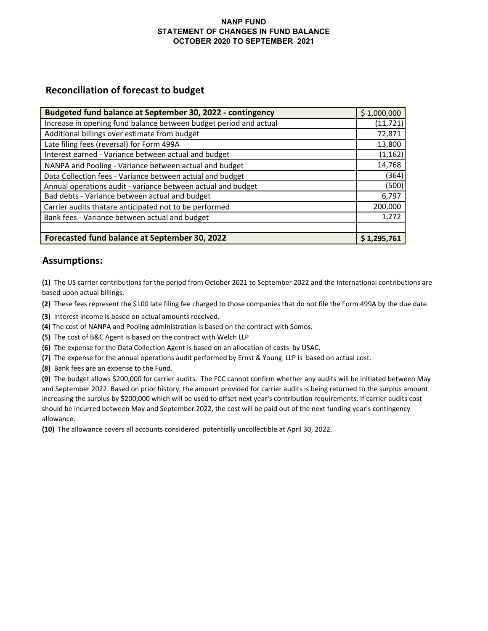### **NANP FUND STATEMENT OF CHANGES IN FUND BALANCE OCTOBER 2020 TO SEPTEMBER 2021**

## **Reconciliation of forecast to budget**

| Budgeted fund balance at September 30, 2022 - contingency         | \$1,000,000 |
|-------------------------------------------------------------------|-------------|
| Increase in opening fund balance between budget period and actual | (11, 721)   |
| Additional billings over estimate from budget                     | 72,871      |
| Late filing fees (reversal) for Form 499A                         | 13,800      |
| Interest earned - Variance between actual and budget              | (1, 162)    |
| NANPA and Pooling - Variance between actual and budget            | 14,768      |
| Data Collection fees - Variance between actual and budget         | (364)       |
| Annual operations audit - variance between actual and budget      | (500)       |
| Bad debts - Variance between actual and budget                    | 6,797       |
| Carrier audits thatare anticipated not to be performed            | 200,000     |
| Bank fees - Variance between actual and budget                    | 1,272       |
|                                                                   |             |
| Forecasted fund balance at September 30, 2022                     | \$1,295,761 |

## **Assumptions:**

**(1)** The US carrier contributions for the period from October 2021 to September 2022 and the International contributions are based upon actual billings.

**(2)** These fees represent the \$100 late filing fee charged to those companies that do not file the Form 499A by the due date.

- **(3)** Interest income is based on actual amounts received.
- **(4)** The cost of NANPA and Pooling administration is based on the contract with Somos.
- **(5)** The cost of B&C Agent is based on the contract with Welch LLP
- **(6)** The expense for the Data Collection Agent is based on an allocation of costs by USAC.
- **(7)** The expense for the annual operations audit performed by Ernst & Young LLP is based on actual cost.
- **(8)** Bank fees are an expense to the Fund.

**(9)** The budget allows \$200,000 for carrier audits. The FCC cannot confirm whether any audits will be initiated between May and September 2022. Based on prior history, the amount provided for carrier audits is being returned to the surplus amount increasing the surplus by \$200,000 which will be used to offset next year's contribution requirements. If carrier audits cost should be incurred between May and September 2022, the cost will be paid out of the next funding year's contingency allowance.

**(10)** The allowance covers all accounts considered potentially uncollectible at April 30, 2022.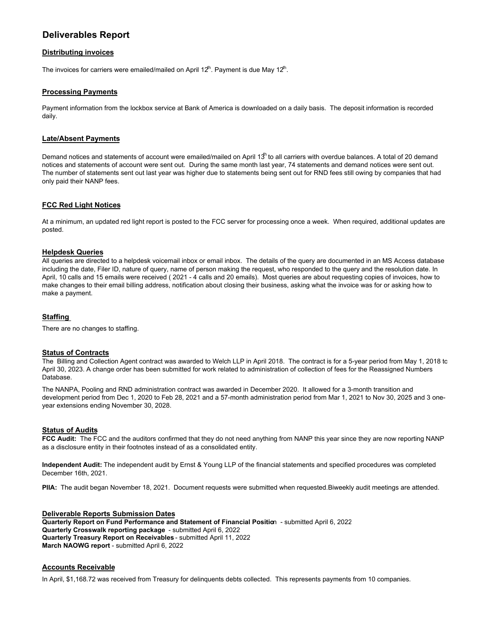## **Deliverables Report**

#### **Distributing invoices**

The invoices for carriers were emailed/mailed on April 12 $^{\text{th}}$ . Payment is due May 12 $^{\text{th}}$ .

#### **Processing Payments**

Payment information from the lockbox service at Bank of America is downloaded on a daily basis. The deposit information is recorded daily.

#### **Late/Absent Payments**

Demand notices and statements of account were emailed/mailed on April 13<sup>h</sup> to all carriers with overdue balances. A total of 20 demand notices and statements of account were sent out. During the same month last year, 74 statements and demand notices were sent out. The number of statements sent out last year was higher due to statements being sent out for RND fees still owing by companies that had only paid their NANP fees.

#### **FCC Red Light Notices**

At a minimum, an updated red light report is posted to the FCC server for processing once a week. When required, additional updates are posted.

#### **Helpdesk Queries**

All queries are directed to a helpdesk voicemail inbox or email inbox. The details of the query are documented in an MS Access database including the date, Filer ID, nature of query, name of person making the request, who responded to the query and the resolution date. In April, 10 calls and 15 emails were received ( 2021 - 4 calls and 20 emails). Most queries are about requesting copies of invoices, how to make changes to their email billing address, notification about closing their business, asking what the invoice was for or asking how to make a payment.

#### **Staffing**

There are no changes to staffing.

#### **Status of Contracts**

The Billing and Collection Agent contract was awarded to Welch LLP in April 2018. The contract is for a 5-year period from May 1, 2018 to April 30, 2023. A change order has been submitted for work related to administration of collection of fees for the Reassigned Numbers Database.

The NANPA, Pooling and RND administration contract was awarded in December 2020. It allowed for a 3-month transition and development period from Dec 1, 2020 to Feb 28, 2021 and a 57-month administration period from Mar 1, 2021 to Nov 30, 2025 and 3 oneyear extensions ending November 30, 2028.

#### **Status of Audits**

**FCC Audit:** The FCC and the auditors confirmed that they do not need anything from NANP this year since they are now reporting NANP as a disclosure entity in their footnotes instead of as a consolidated entity.

**Independent Audit:** The independent audit by Ernst & Young LLP of the financial statements and specified procedures was completed December 16th, 2021.

**PIIA:** The audit began November 18, 2021. Document requests were submitted when requested.Biweekly audit meetings are attended.

#### **Deliverable Reports Submission Dates Quarterly Report on Fund Performance and Statement of Financial Positio**n - submitted April 6, 2022 **Quarterly Crosswalk reporting package** - submitted April 6, 2022 **Quarterly Treasury Report on Receivables** - submitted April 11, 2022 **March NAOWG report** - submitted April 6, 2022

#### **Accounts Receivable**

In April, \$1,168.72 was received from Treasury for delinquents debts collected. This represents payments from 10 companies.